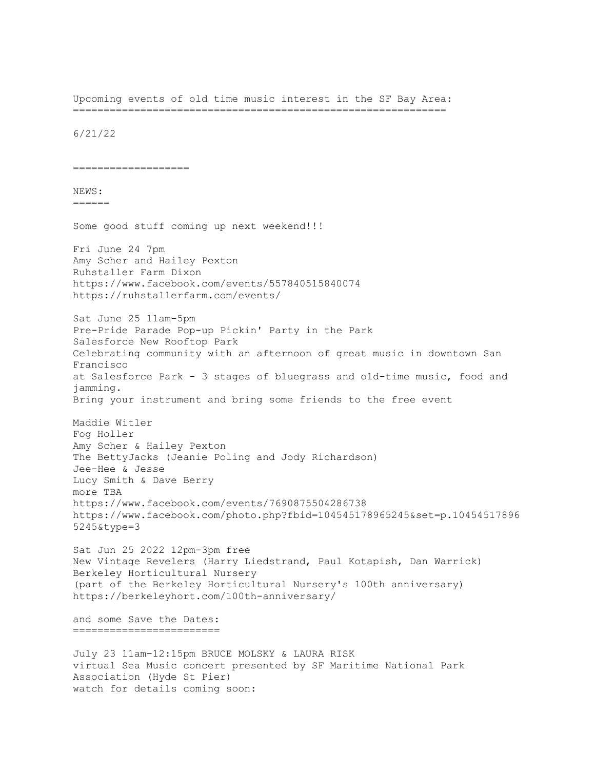Upcoming events of old time music interest in the SF Bay Area: =============================================================

6/21/22

===================

## NEWS:

======

Some good stuff coming up next weekend!!!

Fri June 24 7pm Amy Scher and Hailey Pexton Ruhstaller Farm Dixon https://www.facebook.com/events/557840515840074 https://ruhstallerfarm.com/events/

Sat June 25 11am-5pm Pre-Pride Parade Pop-up Pickin' Party in the Park Salesforce New Rooftop Park Celebrating community with an afternoon of great music in downtown San Francisco at Salesforce Park - 3 stages of bluegrass and old-time music, food and jamming.

Bring your instrument and bring some friends to the free event

Maddie Witler Fog Holler Amy Scher & Hailey Pexton The BettyJacks (Jeanie Poling and Jody Richardson) Jee-Hee & Jesse Lucy Smith & Dave Berry more TBA https://www.facebook.com/events/7690875504286738 https://www.facebook.com/photo.php?fbid=104545178965245&set=p.10454517896 5245&type=3

Sat Jun 25 2022 12pm-3pm free New Vintage Revelers (Harry Liedstrand, Paul Kotapish, Dan Warrick) Berkeley Horticultural Nursery (part of the Berkeley Horticultural Nursery's 100th anniversary) https://berkeleyhort.com/100th-anniversary/

and some Save the Dates: ========================

July 23 11am-12:15pm BRUCE MOLSKY & LAURA RISK virtual Sea Music concert presented by SF Maritime National Park Association (Hyde St Pier) watch for details coming soon: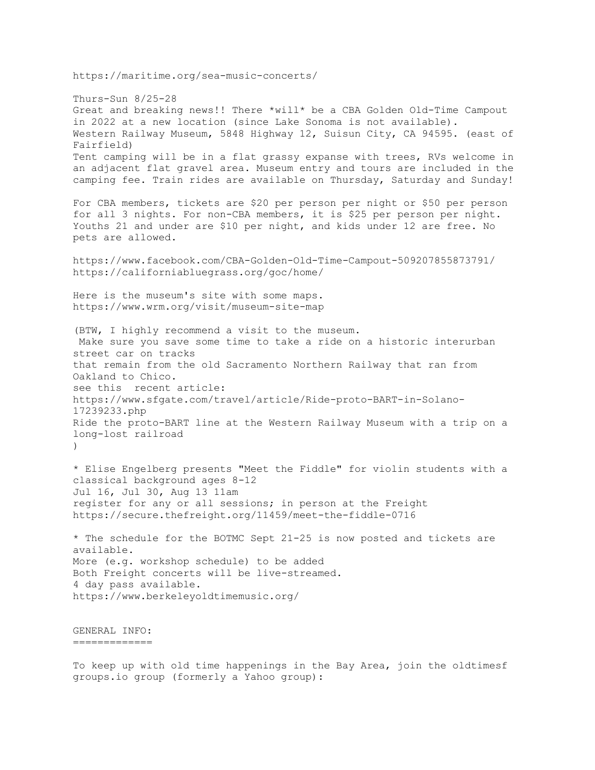https://maritime.org/sea-music-concerts/

Thurs-Sun 8/25-28 Great and breaking news!! There \*will\* be a CBA Golden Old-Time Campout in 2022 at a new location (since Lake Sonoma is not available). Western Railway Museum, 5848 Highway 12, Suisun City, CA 94595. (east of Fairfield) Tent camping will be in a flat grassy expanse with trees, RVs welcome in an adjacent flat gravel area. Museum entry and tours are included in the camping fee. Train rides are available on Thursday, Saturday and Sunday! For CBA members, tickets are \$20 per person per night or \$50 per person for all 3 nights. For non-CBA members, it is \$25 per person per night. Youths 21 and under are \$10 per night, and kids under 12 are free. No pets are allowed. https://www.facebook.com/CBA-Golden-Old-Time-Campout-509207855873791/ https://californiabluegrass.org/goc/home/ Here is the museum's site with some maps. https://www.wrm.org/visit/museum-site-map (BTW, I highly recommend a visit to the museum. Make sure you save some time to take a ride on a historic interurban street car on tracks that remain from the old Sacramento Northern Railway that ran from Oakland to Chico. see this recent article: https://www.sfgate.com/travel/article/Ride-proto-BART-in-Solano-17239233.php Ride the proto-BART line at the Western Railway Museum with a trip on a long-lost railroad ) \* Elise Engelberg presents "Meet the Fiddle" for violin students with a classical background ages 8-12 Jul 16, Jul 30, Aug 13 11am register for any or all sessions; in person at the Freight https://secure.thefreight.org/11459/meet-the-fiddle-0716 \* The schedule for the BOTMC Sept 21-25 is now posted and tickets are available. More (e.g. workshop schedule) to be added Both Freight concerts will be live-streamed. 4 day pass available. https://www.berkeleyoldtimemusic.org/ GENERAL INFO:

=============

To keep up with old time happenings in the Bay Area, join the oldtimesf groups.io group (formerly a Yahoo group):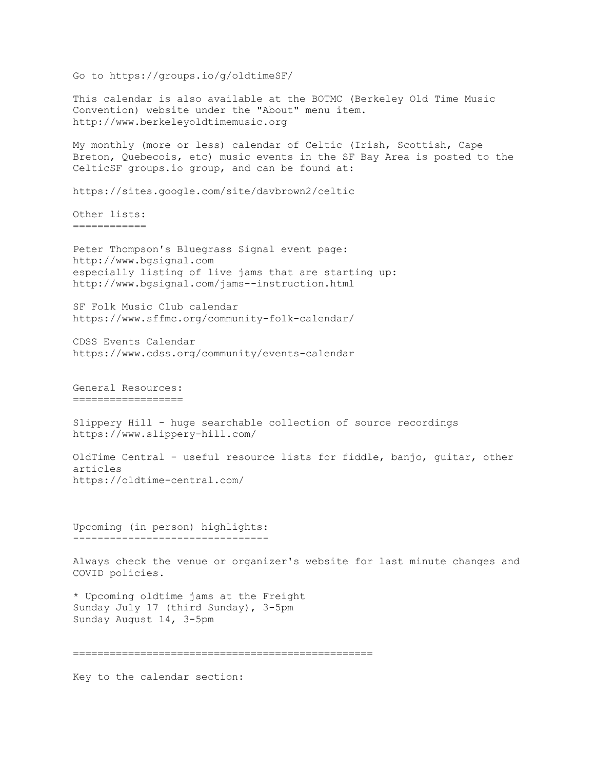Go to https://groups.io/g/oldtimeSF/ This calendar is also available at the BOTMC (Berkeley Old Time Music Convention) website under the "About" menu item. http://www.berkeleyoldtimemusic.org My monthly (more or less) calendar of Celtic (Irish, Scottish, Cape Breton, Quebecois, etc) music events in the SF Bay Area is posted to the CelticSF groups.io group, and can be found at: https://sites.google.com/site/davbrown2/celtic Other lists: ============ Peter Thompson's Bluegrass Signal event page: http://www.bgsignal.com especially listing of live jams that are starting up: http://www.bgsignal.com/jams--instruction.html SF Folk Music Club calendar https://www.sffmc.org/community-folk-calendar/ CDSS Events Calendar https://www.cdss.org/community/events-calendar General Resources: ================== Slippery Hill - huge searchable collection of source recordings https://www.slippery-hill.com/ OldTime Central - useful resource lists for fiddle, banjo, guitar, other articles https://oldtime-central.com/ Upcoming (in person) highlights: -------------------------------- Always check the venue or organizer's website for last minute changes and COVID policies. \* Upcoming oldtime jams at the Freight Sunday July 17 (third Sunday), 3-5pm Sunday August 14, 3-5pm =================================================

Key to the calendar section: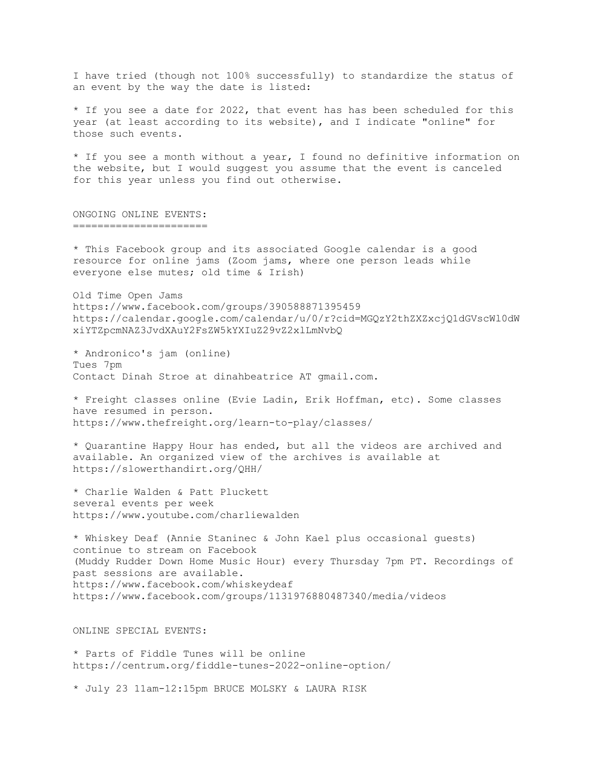I have tried (though not 100% successfully) to standardize the status of an event by the way the date is listed:

\* If you see a date for 2022, that event has has been scheduled for this year (at least according to its website), and I indicate "online" for those such events.

\* If you see a month without a year, I found no definitive information on the website, but I would suggest you assume that the event is canceled for this year unless you find out otherwise.

ONGOING ONLINE EVENTS: ======================

\* This Facebook group and its associated Google calendar is a good resource for online jams (Zoom jams, where one person leads while everyone else mutes; old time & Irish)

Old Time Open Jams https://www.facebook.com/groups/390588871395459 https://calendar.google.com/calendar/u/0/r?cid=MGQzY2thZXZxcjQ1dGVscWl0dW xiYTZpcmNAZ3JvdXAuY2FsZW5kYXIuZ29vZ2xlLmNvbQ

\* Andronico's jam (online) Tues 7pm Contact Dinah Stroe at dinahbeatrice AT gmail.com.

\* Freight classes online (Evie Ladin, Erik Hoffman, etc). Some classes have resumed in person. https://www.thefreight.org/learn-to-play/classes/

\* Quarantine Happy Hour has ended, but all the videos are archived and available. An organized view of the archives is available at https://slowerthandirt.org/QHH/

\* Charlie Walden & Patt Pluckett several events per week https://www.youtube.com/charliewalden

\* Whiskey Deaf (Annie Staninec & John Kael plus occasional guests) continue to stream on Facebook (Muddy Rudder Down Home Music Hour) every Thursday 7pm PT. Recordings of past sessions are available. https://www.facebook.com/whiskeydeaf https://www.facebook.com/groups/1131976880487340/media/videos

ONLINE SPECIAL EVENTS:

\* Parts of Fiddle Tunes will be online https://centrum.org/fiddle-tunes-2022-online-option/

\* July 23 11am-12:15pm BRUCE MOLSKY & LAURA RISK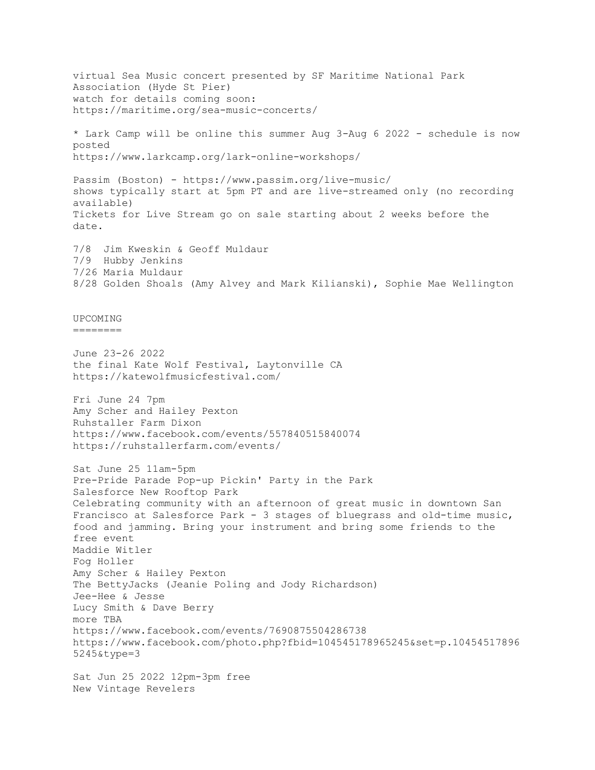virtual Sea Music concert presented by SF Maritime National Park Association (Hyde St Pier) watch for details coming soon: https://maritime.org/sea-music-concerts/ \* Lark Camp will be online this summer Aug 3-Aug 6 2022 - schedule is now posted https://www.larkcamp.org/lark-online-workshops/ Passim (Boston) - https://www.passim.org/live-music/ shows typically start at 5pm PT and are live-streamed only (no recording available) Tickets for Live Stream go on sale starting about 2 weeks before the date. 7/8 Jim Kweskin & Geoff Muldaur 7/9 Hubby Jenkins 7/26 Maria Muldaur 8/28 Golden Shoals (Amy Alvey and Mark Kilianski), Sophie Mae Wellington UPCOMING  $=$ June 23-26 2022 the final Kate Wolf Festival, Laytonville CA https://katewolfmusicfestival.com/ Fri June 24 7pm Amy Scher and Hailey Pexton Ruhstaller Farm Dixon https://www.facebook.com/events/557840515840074 https://ruhstallerfarm.com/events/ Sat June 25 11am-5pm Pre-Pride Parade Pop-up Pickin' Party in the Park Salesforce New Rooftop Park Celebrating community with an afternoon of great music in downtown San Francisco at Salesforce Park - 3 stages of bluegrass and old-time music, food and jamming. Bring your instrument and bring some friends to the free event Maddie Witler Fog Holler Amy Scher & Hailey Pexton The BettyJacks (Jeanie Poling and Jody Richardson) Jee-Hee & Jesse Lucy Smith & Dave Berry more TBA https://www.facebook.com/events/7690875504286738 https://www.facebook.com/photo.php?fbid=104545178965245&set=p.10454517896 5245&type=3 Sat Jun 25 2022 12pm-3pm free New Vintage Revelers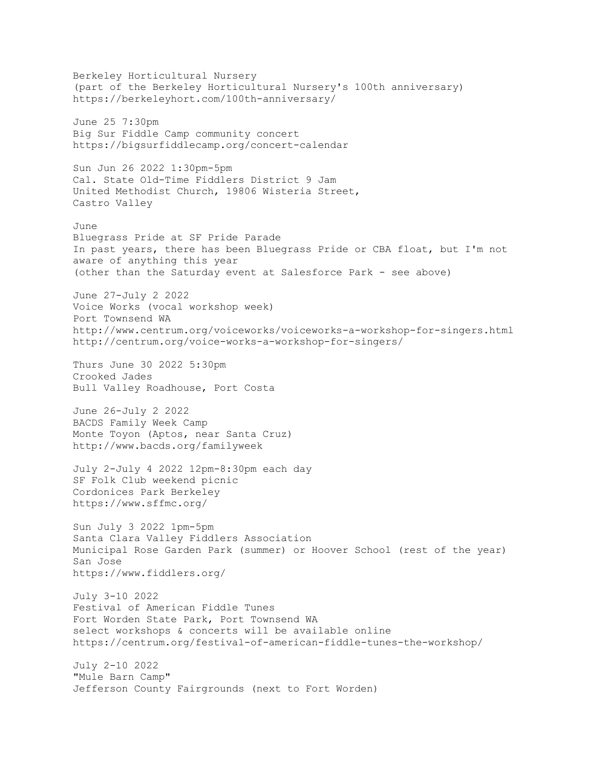Berkeley Horticultural Nursery (part of the Berkeley Horticultural Nursery's 100th anniversary) https://berkeleyhort.com/100th-anniversary/ June 25 7:30pm Big Sur Fiddle Camp community concert https://bigsurfiddlecamp.org/concert-calendar Sun Jun 26 2022 1:30pm-5pm Cal. State Old-Time Fiddlers District 9 Jam United Methodist Church, 19806 Wisteria Street, Castro Valley June Bluegrass Pride at SF Pride Parade In past years, there has been Bluegrass Pride or CBA float, but I'm not aware of anything this year (other than the Saturday event at Salesforce Park - see above) June 27-July 2 2022 Voice Works (vocal workshop week) Port Townsend WA http://www.centrum.org/voiceworks/voiceworks-a-workshop-for-singers.html http://centrum.org/voice-works-a-workshop-for-singers/ Thurs June 30 2022 5:30pm Crooked Jades Bull Valley Roadhouse, Port Costa June 26-July 2 2022 BACDS Family Week Camp Monte Toyon (Aptos, near Santa Cruz) http://www.bacds.org/familyweek July 2-July 4 2022 12pm-8:30pm each day SF Folk Club weekend picnic Cordonices Park Berkeley https://www.sffmc.org/ Sun July 3 2022 1pm-5pm Santa Clara Valley Fiddlers Association Municipal Rose Garden Park (summer) or Hoover School (rest of the year) San Jose https://www.fiddlers.org/ July 3-10 2022 Festival of American Fiddle Tunes Fort Worden State Park, Port Townsend WA select workshops & concerts will be available online https://centrum.org/festival-of-american-fiddle-tunes-the-workshop/ July 2-10 2022 "Mule Barn Camp" Jefferson County Fairgrounds (next to Fort Worden)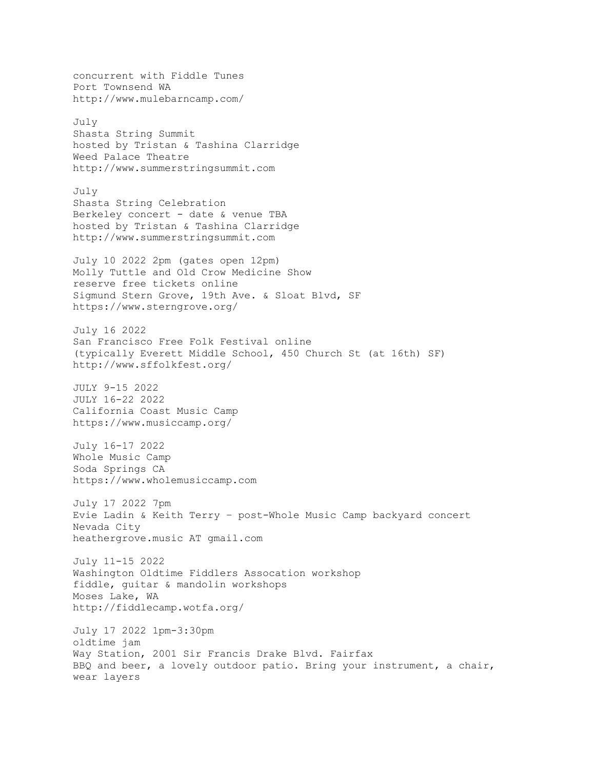concurrent with Fiddle Tunes Port Townsend WA http://www.mulebarncamp.com/ July Shasta String Summit hosted by Tristan & Tashina Clarridge Weed Palace Theatre http://www.summerstringsummit.com July Shasta String Celebration Berkeley concert - date & venue TBA hosted by Tristan & Tashina Clarridge http://www.summerstringsummit.com July 10 2022 2pm (gates open 12pm) Molly Tuttle and Old Crow Medicine Show reserve free tickets online Sigmund Stern Grove, 19th Ave. & Sloat Blvd, SF https://www.sterngrove.org/ July 16 2022 San Francisco Free Folk Festival online (typically Everett Middle School, 450 Church St (at 16th) SF) http://www.sffolkfest.org/ JULY 9-15 2022 JULY 16-22 2022 California Coast Music Camp https://www.musiccamp.org/ July 16-17 2022 Whole Music Camp Soda Springs CA https://www.wholemusiccamp.com July 17 2022 7pm Evie Ladin & Keith Terry – post-Whole Music Camp backyard concert Nevada City heathergrove.music AT gmail.com July 11-15 2022 Washington Oldtime Fiddlers Assocation workshop fiddle, guitar & mandolin workshops Moses Lake, WA http://fiddlecamp.wotfa.org/ July 17 2022 1pm-3:30pm oldtime jam Way Station, 2001 Sir Francis Drake Blvd. Fairfax BBQ and beer, a lovely outdoor patio. Bring your instrument, a chair, wear layers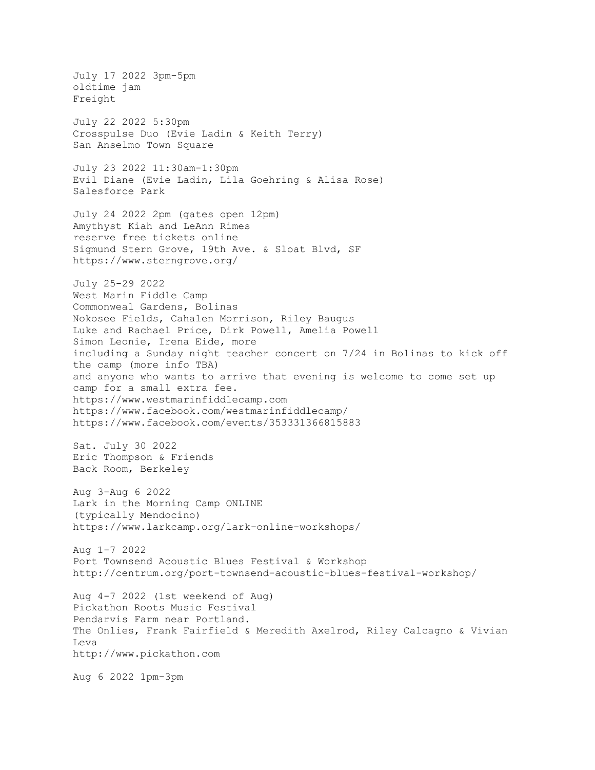July 17 2022 3pm-5pm oldtime jam Freight July 22 2022 5:30pm Crosspulse Duo (Evie Ladin & Keith Terry) San Anselmo Town Square July 23 2022 11:30am-1:30pm Evil Diane (Evie Ladin, Lila Goehring & Alisa Rose) Salesforce Park July 24 2022 2pm (gates open 12pm) Amythyst Kiah and LeAnn Rimes reserve free tickets online Sigmund Stern Grove, 19th Ave. & Sloat Blvd, SF https://www.sterngrove.org/ July 25-29 2022 West Marin Fiddle Camp Commonweal Gardens, Bolinas Nokosee Fields, Cahalen Morrison, Riley Baugus Luke and Rachael Price, Dirk Powell, Amelia Powell Simon Leonie, Irena Eide, more including a Sunday night teacher concert on 7/24 in Bolinas to kick off the camp (more info TBA) and anyone who wants to arrive that evening is welcome to come set up camp for a small extra fee. https://www.westmarinfiddlecamp.com https://www.facebook.com/westmarinfiddlecamp/ https://www.facebook.com/events/353331366815883 Sat. July 30 2022 Eric Thompson & Friends Back Room, Berkeley Aug 3-Aug 6 2022 Lark in the Morning Camp ONLINE (typically Mendocino) https://www.larkcamp.org/lark-online-workshops/ Aug 1-7 2022 Port Townsend Acoustic Blues Festival & Workshop http://centrum.org/port-townsend-acoustic-blues-festival-workshop/ Aug 4-7 2022 (1st weekend of Aug) Pickathon Roots Music Festival Pendarvis Farm near Portland. The Onlies, Frank Fairfield & Meredith Axelrod, Riley Calcagno & Vivian Leva http://www.pickathon.com Aug 6 2022 1pm-3pm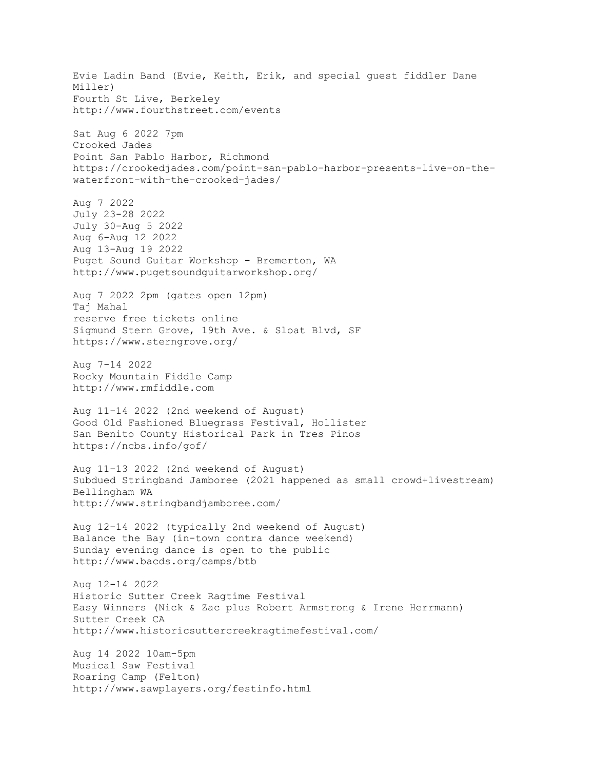Evie Ladin Band (Evie, Keith, Erik, and special guest fiddler Dane Miller) Fourth St Live, Berkeley http://www.fourthstreet.com/events Sat Aug 6 2022 7pm Crooked Jades Point San Pablo Harbor, Richmond https://crookedjades.com/point-san-pablo-harbor-presents-live-on-thewaterfront-with-the-crooked-jades/ Aug 7 2022 July 23-28 2022 July 30-Aug 5 2022 Aug 6-Aug 12 2022 Aug 13-Aug 19 2022 Puget Sound Guitar Workshop - Bremerton, WA http://www.pugetsoundguitarworkshop.org/ Aug 7 2022 2pm (gates open 12pm) Taj Mahal reserve free tickets online Sigmund Stern Grove, 19th Ave. & Sloat Blvd, SF https://www.sterngrove.org/ Aug 7-14 2022 Rocky Mountain Fiddle Camp http://www.rmfiddle.com Aug 11-14 2022 (2nd weekend of August) Good Old Fashioned Bluegrass Festival, Hollister San Benito County Historical Park in Tres Pinos https://ncbs.info/gof/ Aug 11-13 2022 (2nd weekend of August) Subdued Stringband Jamboree (2021 happened as small crowd+livestream) Bellingham WA http://www.stringbandjamboree.com/ Aug 12-14 2022 (typically 2nd weekend of August) Balance the Bay (in-town contra dance weekend) Sunday evening dance is open to the public http://www.bacds.org/camps/btb Aug 12-14 2022 Historic Sutter Creek Ragtime Festival Easy Winners (Nick & Zac plus Robert Armstrong & Irene Herrmann) Sutter Creek CA http://www.historicsuttercreekragtimefestival.com/ Aug 14 2022 10am-5pm Musical Saw Festival Roaring Camp (Felton) http://www.sawplayers.org/festinfo.html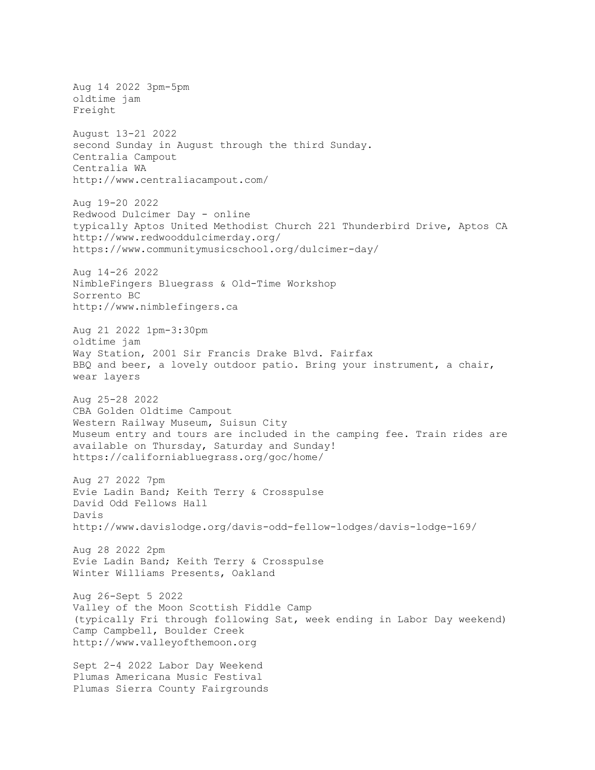Aug 14 2022 3pm-5pm oldtime jam Freight August 13-21 2022 second Sunday in August through the third Sunday. Centralia Campout Centralia WA http://www.centraliacampout.com/ Aug 19-20 2022 Redwood Dulcimer Day - online typically Aptos United Methodist Church 221 Thunderbird Drive, Aptos CA http://www.redwooddulcimerday.org/ https://www.communitymusicschool.org/dulcimer-day/ Aug 14-26 2022 NimbleFingers Bluegrass & Old-Time Workshop Sorrento BC http://www.nimblefingers.ca Aug 21 2022 1pm-3:30pm oldtime jam Way Station, 2001 Sir Francis Drake Blvd. Fairfax BBQ and beer, a lovely outdoor patio. Bring your instrument, a chair, wear layers Aug 25-28 2022 CBA Golden Oldtime Campout Western Railway Museum, Suisun City Museum entry and tours are included in the camping fee. Train rides are available on Thursday, Saturday and Sunday! https://californiabluegrass.org/goc/home/ Aug 27 2022 7pm Evie Ladin Band; Keith Terry & Crosspulse David Odd Fellows Hall Davis http://www.davislodge.org/davis-odd-fellow-lodges/davis-lodge-169/ Aug 28 2022 2pm Evie Ladin Band; Keith Terry & Crosspulse Winter Williams Presents, Oakland Aug 26-Sept 5 2022 Valley of the Moon Scottish Fiddle Camp (typically Fri through following Sat, week ending in Labor Day weekend) Camp Campbell, Boulder Creek http://www.valleyofthemoon.org Sept 2-4 2022 Labor Day Weekend Plumas Americana Music Festival Plumas Sierra County Fairgrounds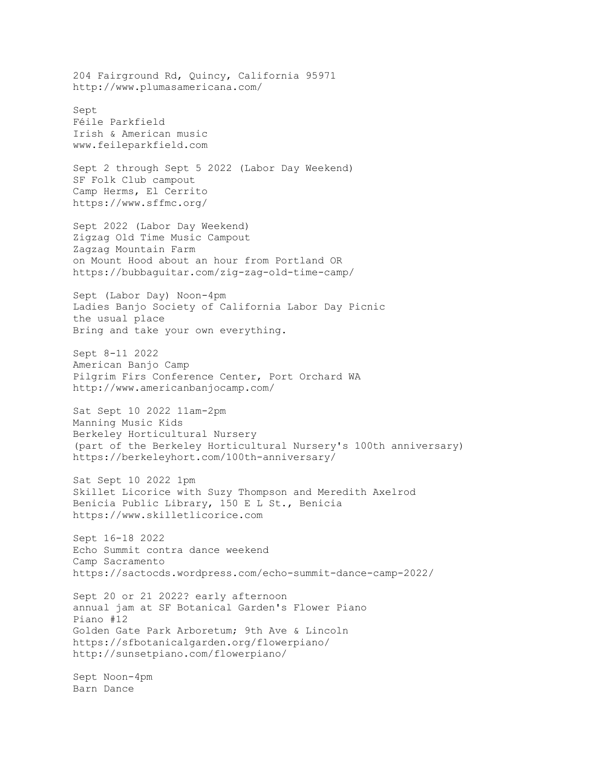204 Fairground Rd, Quincy, California 95971 http://www.plumasamericana.com/ Sept Féile Parkfield Irish & American music www.feileparkfield.com Sept 2 through Sept 5 2022 (Labor Day Weekend) SF Folk Club campout Camp Herms, El Cerrito https://www.sffmc.org/ Sept 2022 (Labor Day Weekend) Zigzag Old Time Music Campout Zagzag Mountain Farm on Mount Hood about an hour from Portland OR https://bubbaguitar.com/zig-zag-old-time-camp/ Sept (Labor Day) Noon-4pm Ladies Banjo Society of California Labor Day Picnic the usual place Bring and take your own everything. Sept 8-11 2022 American Banjo Camp Pilgrim Firs Conference Center, Port Orchard WA http://www.americanbanjocamp.com/ Sat Sept 10 2022 11am-2pm Manning Music Kids Berkeley Horticultural Nursery (part of the Berkeley Horticultural Nursery's 100th anniversary) https://berkeleyhort.com/100th-anniversary/ Sat Sept 10 2022 1pm Skillet Licorice with Suzy Thompson and Meredith Axelrod Benicia Public Library, 150 E L St., Benicia https://www.skilletlicorice.com Sept 16-18 2022 Echo Summit contra dance weekend Camp Sacramento https://sactocds.wordpress.com/echo-summit-dance-camp-2022/ Sept 20 or 21 2022? early afternoon annual jam at SF Botanical Garden's Flower Piano Piano #12 Golden Gate Park Arboretum; 9th Ave & Lincoln https://sfbotanicalgarden.org/flowerpiano/ http://sunsetpiano.com/flowerpiano/ Sept Noon-4pm Barn Dance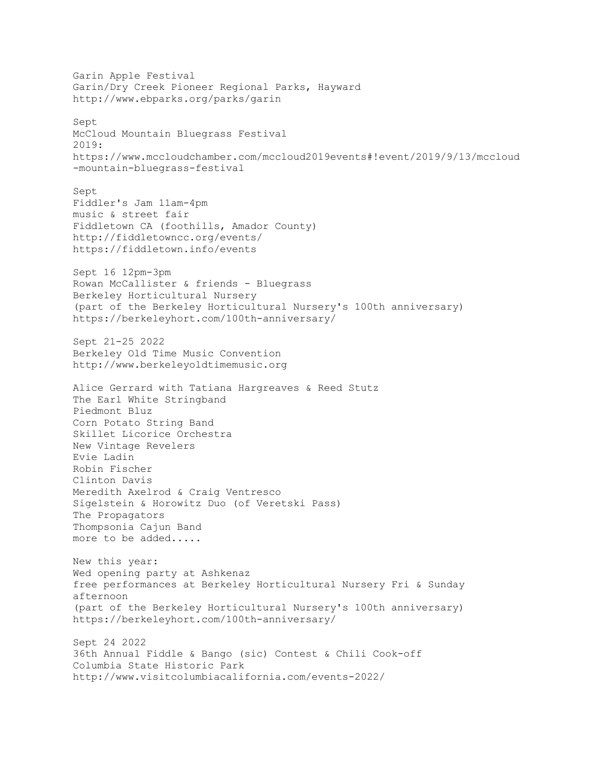Garin Apple Festival Garin/Dry Creek Pioneer Regional Parks, Hayward http://www.ebparks.org/parks/garin Sept McCloud Mountain Bluegrass Festival 2019: https://www.mccloudchamber.com/mccloud2019events#!event/2019/9/13/mccloud -mountain-bluegrass-festival Sept Fiddler's Jam 11am-4pm music & street fair Fiddletown CA (foothills, Amador County) http://fiddletowncc.org/events/ https://fiddletown.info/events Sept 16 12pm-3pm Rowan McCallister & friends - Bluegrass Berkeley Horticultural Nursery (part of the Berkeley Horticultural Nursery's 100th anniversary) https://berkeleyhort.com/100th-anniversary/ Sept 21-25 2022 Berkeley Old Time Music Convention http://www.berkeleyoldtimemusic.org Alice Gerrard with Tatiana Hargreaves & Reed Stutz The Earl White Stringband Piedmont Bluz Corn Potato String Band Skillet Licorice Orchestra New Vintage Revelers Evie Ladin Robin Fischer Clinton Davis Meredith Axelrod & Craig Ventresco Sigelstein & Horowitz Duo (of Veretski Pass) The Propagators Thompsonia Cajun Band more to be added..... New this year: Wed opening party at Ashkenaz free performances at Berkeley Horticultural Nursery Fri & Sunday afternoon (part of the Berkeley Horticultural Nursery's 100th anniversary) https://berkeleyhort.com/100th-anniversary/ Sept 24 2022 36th Annual Fiddle & Bango (sic) Contest & Chili Cook-off Columbia State Historic Park http://www.visitcolumbiacalifornia.com/events-2022/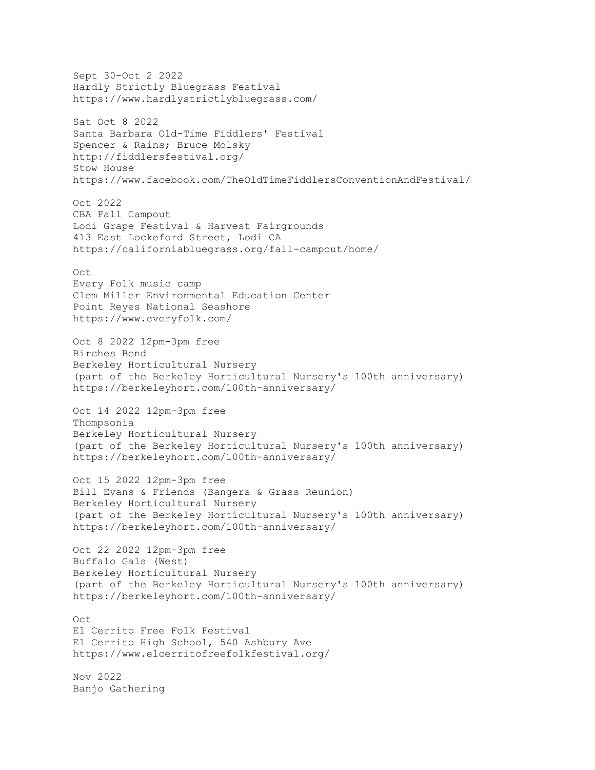Sept 30-Oct 2 2022 Hardly Strictly Bluegrass Festival https://www.hardlystrictlybluegrass.com/ Sat Oct 8 2022 Santa Barbara Old-Time Fiddlers' Festival Spencer & Rains; Bruce Molsky http://fiddlersfestival.org/ Stow House https://www.facebook.com/TheOldTimeFiddlersConventionAndFestival/ Oct 2022 CBA Fall Campout Lodi Grape Festival & Harvest Fairgrounds 413 East Lockeford Street, Lodi CA https://californiabluegrass.org/fall-campout/home/ Oct Every Folk music camp Clem Miller Environmental Education Center Point Reyes National Seashore https://www.everyfolk.com/ Oct 8 2022 12pm-3pm free Birches Bend Berkeley Horticultural Nursery (part of the Berkeley Horticultural Nursery's 100th anniversary) https://berkeleyhort.com/100th-anniversary/ Oct 14 2022 12pm-3pm free Thompsonia Berkeley Horticultural Nursery (part of the Berkeley Horticultural Nursery's 100th anniversary) https://berkeleyhort.com/100th-anniversary/ Oct 15 2022 12pm-3pm free Bill Evans & Friends (Bangers & Grass Reunion) Berkeley Horticultural Nursery (part of the Berkeley Horticultural Nursery's 100th anniversary) https://berkeleyhort.com/100th-anniversary/ Oct 22 2022 12pm-3pm free Buffalo Gals (West) Berkeley Horticultural Nursery (part of the Berkeley Horticultural Nursery's 100th anniversary) https://berkeleyhort.com/100th-anniversary/ Oct El Cerrito Free Folk Festival El Cerrito High School, 540 Ashbury Ave https://www.elcerritofreefolkfestival.org/ Nov 2022 Banjo Gathering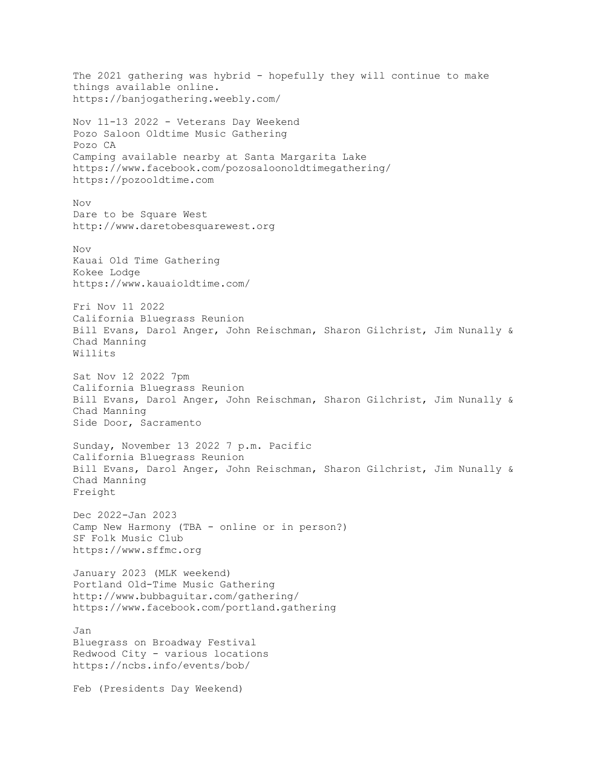The 2021 gathering was hybrid - hopefully they will continue to make things available online. https://banjogathering.weebly.com/ Nov 11-13 2022 - Veterans Day Weekend Pozo Saloon Oldtime Music Gathering Pozo CA Camping available nearby at Santa Margarita Lake https://www.facebook.com/pozosaloonoldtimegathering/ https://pozooldtime.com Nov Dare to be Square West http://www.daretobesquarewest.org  $N\cap V$ Kauai Old Time Gathering Kokee Lodge https://www.kauaioldtime.com/ Fri Nov 11 2022 California Bluegrass Reunion Bill Evans, Darol Anger, John Reischman, Sharon Gilchrist, Jim Nunally & Chad Manning Willits Sat Nov 12 2022 7pm California Bluegrass Reunion Bill Evans, Darol Anger, John Reischman, Sharon Gilchrist, Jim Nunally & Chad Manning Side Door, Sacramento Sunday, November 13 2022 7 p.m. Pacific California Bluegrass Reunion Bill Evans, Darol Anger, John Reischman, Sharon Gilchrist, Jim Nunally & Chad Manning Freight Dec 2022-Jan 2023 Camp New Harmony (TBA - online or in person?) SF Folk Music Club https://www.sffmc.org January 2023 (MLK weekend) Portland Old-Time Music Gathering http://www.bubbaguitar.com/gathering/ https://www.facebook.com/portland.gathering Jan Bluegrass on Broadway Festival Redwood City - various locations https://ncbs.info/events/bob/ Feb (Presidents Day Weekend)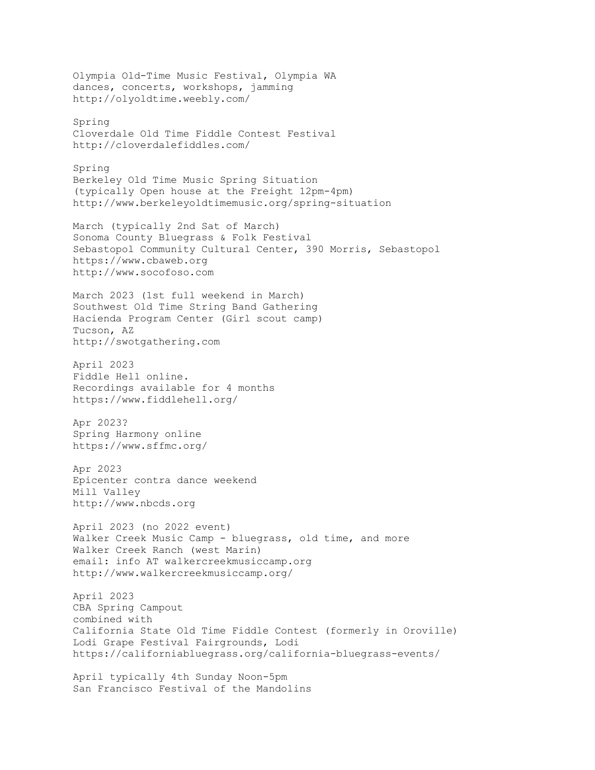Olympia Old-Time Music Festival, Olympia WA dances, concerts, workshops, jamming http://olyoldtime.weebly.com/ Spring Cloverdale Old Time Fiddle Contest Festival http://cloverdalefiddles.com/ Spring Berkeley Old Time Music Spring Situation (typically Open house at the Freight 12pm-4pm) http://www.berkeleyoldtimemusic.org/spring-situation March (typically 2nd Sat of March) Sonoma County Bluegrass & Folk Festival Sebastopol Community Cultural Center, 390 Morris, Sebastopol https://www.cbaweb.org http://www.socofoso.com March 2023 (1st full weekend in March) Southwest Old Time String Band Gathering Hacienda Program Center (Girl scout camp) Tucson, AZ http://swotgathering.com April 2023 Fiddle Hell online. Recordings available for 4 months https://www.fiddlehell.org/ Apr 2023? Spring Harmony online https://www.sffmc.org/ Apr 2023 Epicenter contra dance weekend Mill Valley http://www.nbcds.org April 2023 (no 2022 event) Walker Creek Music Camp - bluegrass, old time, and more Walker Creek Ranch (west Marin) email: info AT walkercreekmusiccamp.org http://www.walkercreekmusiccamp.org/ April 2023 CBA Spring Campout combined with California State Old Time Fiddle Contest (formerly in Oroville) Lodi Grape Festival Fairgrounds, Lodi https://californiabluegrass.org/california-bluegrass-events/ April typically 4th Sunday Noon-5pm San Francisco Festival of the Mandolins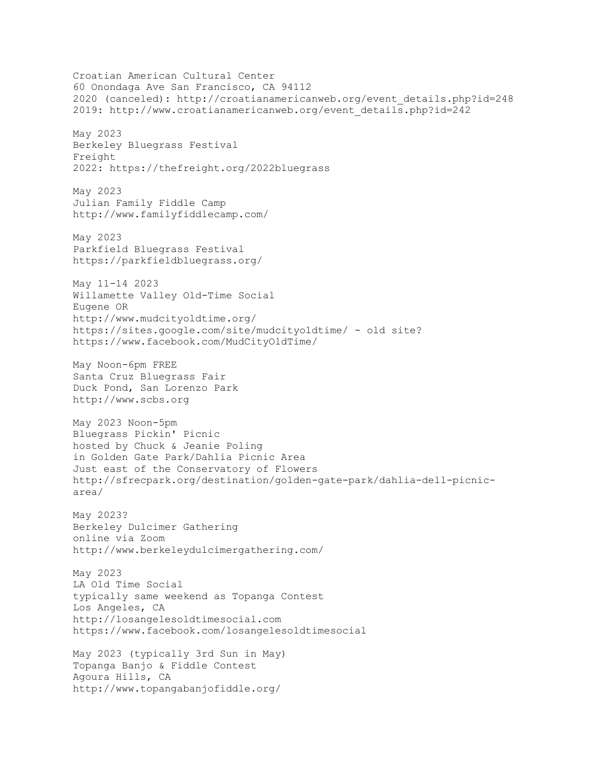Croatian American Cultural Center 60 Onondaga Ave San Francisco, CA 94112 2020 (canceled): http://croatianamericanweb.org/event\_details.php?id=248 2019: http://www.croatianamericanweb.org/event\_details.php?id=242 May 2023 Berkeley Bluegrass Festival Freight 2022: https://thefreight.org/2022bluegrass May 2023 Julian Family Fiddle Camp http://www.familyfiddlecamp.com/ May 2023 Parkfield Bluegrass Festival https://parkfieldbluegrass.org/ May 11-14 2023 Willamette Valley Old-Time Social Eugene OR http://www.mudcityoldtime.org/ https://sites.google.com/site/mudcityoldtime/ - old site? https://www.facebook.com/MudCityOldTime/ May Noon-6pm FREE Santa Cruz Bluegrass Fair Duck Pond, San Lorenzo Park http://www.scbs.org May 2023 Noon-5pm Bluegrass Pickin' Picnic hosted by Chuck & Jeanie Poling in Golden Gate Park/Dahlia Picnic Area Just east of the Conservatory of Flowers http://sfrecpark.org/destination/golden-gate-park/dahlia-dell-picnicarea/ May 2023? Berkeley Dulcimer Gathering online via Zoom http://www.berkeleydulcimergathering.com/ May 2023 LA Old Time Social typically same weekend as Topanga Contest Los Angeles, CA http://losangelesoldtimesocial.com https://www.facebook.com/losangelesoldtimesocial May 2023 (typically 3rd Sun in May) Topanga Banjo & Fiddle Contest Agoura Hills, CA http://www.topangabanjofiddle.org/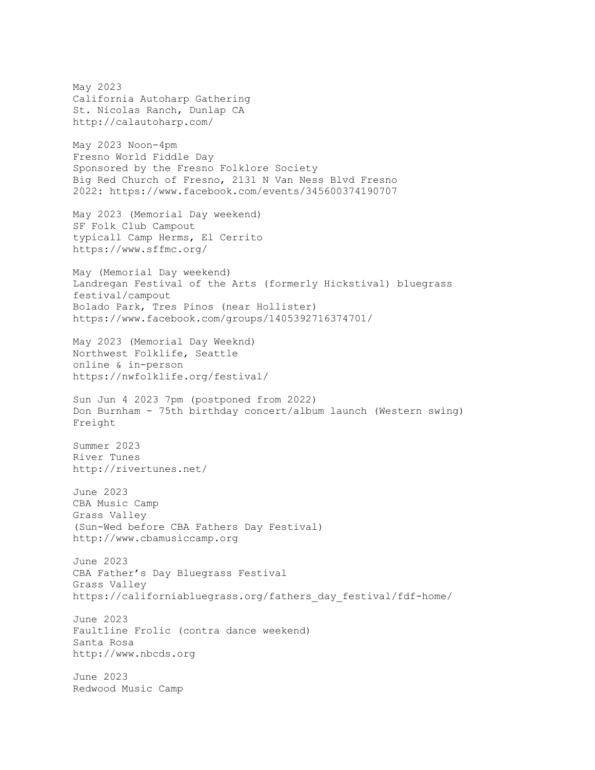May 2023 California Autoharp Gathering St. Nicolas Ranch, Dunlap CA http://calautoharp.com/ May 2023 Noon-4pm Fresno World Fiddle Day Sponsored by the Fresno Folklore Society Big Red Church of Fresno, 2131 N Van Ness Blvd Fresno 2022: https://www.facebook.com/events/345600374190707 May 2023 (Memorial Day weekend) SF Folk Club Campout typicall Camp Herms, El Cerrito https://www.sffmc.org/ May (Memorial Day weekend) Landregan Festival of the Arts (formerly Hickstival) bluegrass festival/campout Bolado Park, Tres Pinos (near Hollister) https://www.facebook.com/groups/1405392716374701/ May 2023 (Memorial Day Weeknd) Northwest Folklife, Seattle online & in-person https://nwfolklife.org/festival/ Sun Jun 4 2023 7pm (postponed from 2022) Don Burnham - 75th birthday concert/album launch (Western swing) Freight Summer 2023 River Tunes http://rivertunes.net/ June 2023 CBA Music Camp Grass Valley (Sun-Wed before CBA Fathers Day Festival) http://www.cbamusiccamp.org June 2023 CBA Father's Day Bluegrass Festival Grass Valley https://californiabluegrass.org/fathers\_day\_festival/fdf-home/ June 2023 Faultline Frolic (contra dance weekend) Santa Rosa http://www.nbcds.org June 2023 Redwood Music Camp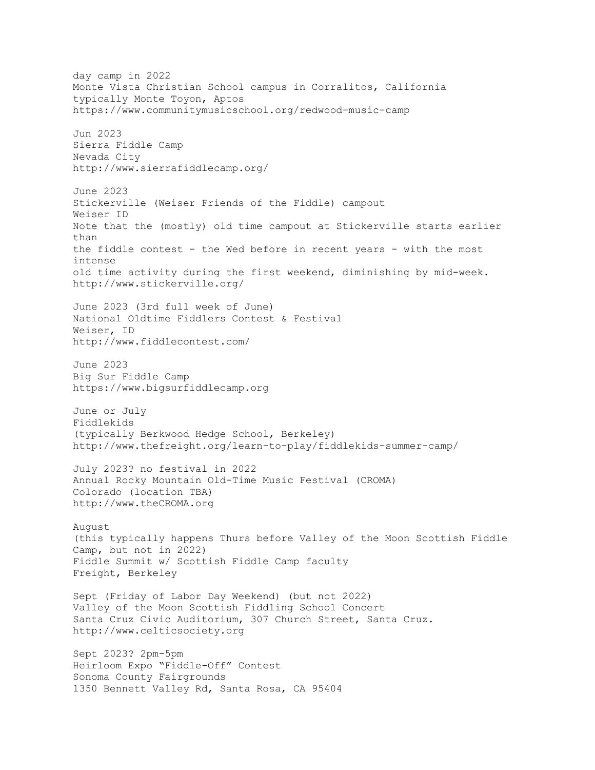day camp in 2022 Monte Vista Christian School campus in Corralitos, California typically Monte Toyon, Aptos https://www.communitymusicschool.org/redwood-music-camp Jun 2023 Sierra Fiddle Camp Nevada City http://www.sierrafiddlecamp.org/ June 2023 Stickerville (Weiser Friends of the Fiddle) campout Weiser ID Note that the (mostly) old time campout at Stickerville starts earlier than the fiddle contest - the Wed before in recent years - with the most intense old time activity during the first weekend, diminishing by mid-week. http://www.stickerville.org/ June 2023 (3rd full week of June) National Oldtime Fiddlers Contest & Festival Weiser, ID http://www.fiddlecontest.com/ June 2023 Big Sur Fiddle Camp https://www.bigsurfiddlecamp.org June or July Fiddlekids (typically Berkwood Hedge School, Berkeley) http://www.thefreight.org/learn-to-play/fiddlekids-summer-camp/ July 2023? no festival in 2022 Annual Rocky Mountain Old-Time Music Festival (CROMA) Colorado (location TBA) http://www.theCROMA.org August (this typically happens Thurs before Valley of the Moon Scottish Fiddle Camp, but not in 2022) Fiddle Summit w/ Scottish Fiddle Camp faculty Freight, Berkeley Sept (Friday of Labor Day Weekend) (but not 2022) Valley of the Moon Scottish Fiddling School Concert Santa Cruz Civic Auditorium, 307 Church Street, Santa Cruz. http://www.celticsociety.org Sept 2023? 2pm-5pm Heirloom Expo "Fiddle-Off" Contest Sonoma County Fairgrounds 1350 Bennett Valley Rd, Santa Rosa, CA 95404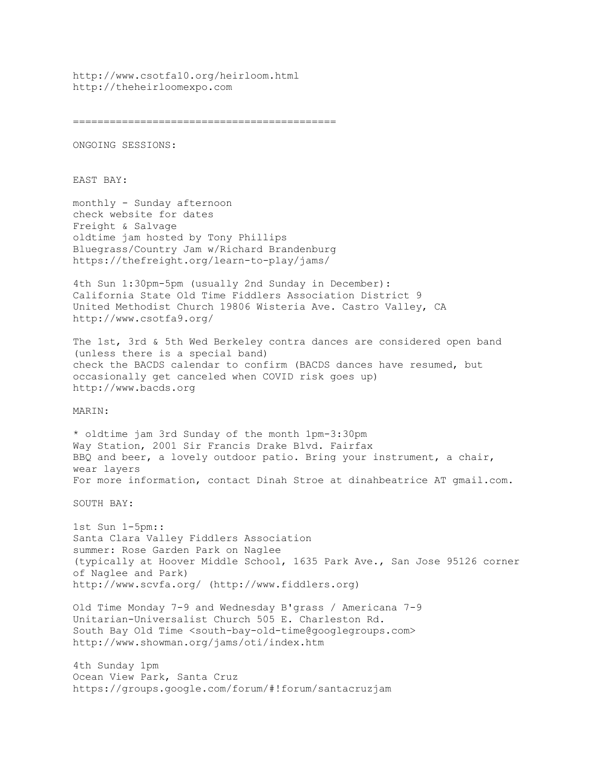http://www.csotfa10.org/heirloom.html http://theheirloomexpo.com

===========================================

ONGOING SESSIONS:

EAST BAY:

monthly - Sunday afternoon check website for dates Freight & Salvage oldtime jam hosted by Tony Phillips Bluegrass/Country Jam w/Richard Brandenburg https://thefreight.org/learn-to-play/jams/

4th Sun 1:30pm-5pm (usually 2nd Sunday in December): California State Old Time Fiddlers Association District 9 United Methodist Church 19806 Wisteria Ave. Castro Valley, CA http://www.csotfa9.org/

The 1st, 3rd & 5th Wed Berkeley contra dances are considered open band (unless there is a special band) check the BACDS calendar to confirm (BACDS dances have resumed, but occasionally get canceled when COVID risk goes up) http://www.bacds.org

MARIN:

\* oldtime jam 3rd Sunday of the month 1pm-3:30pm Way Station, 2001 Sir Francis Drake Blvd. Fairfax BBQ and beer, a lovely outdoor patio. Bring your instrument, a chair, wear layers For more information, contact Dinah Stroe at dinahbeatrice AT gmail.com.

SOUTH BAY:

1st Sun 1-5pm:: Santa Clara Valley Fiddlers Association summer: Rose Garden Park on Naglee (typically at Hoover Middle School, 1635 Park Ave., San Jose 95126 corner of Naglee and Park) http://www.scvfa.org/ (http://www.fiddlers.org)

Old Time Monday 7-9 and Wednesday B'grass / Americana 7-9 Unitarian-Universalist Church 505 E. Charleston Rd. South Bay Old Time <south-bay-old-time@googlegroups.com> http://www.showman.org/jams/oti/index.htm

4th Sunday 1pm Ocean View Park, Santa Cruz https://groups.google.com/forum/#!forum/santacruzjam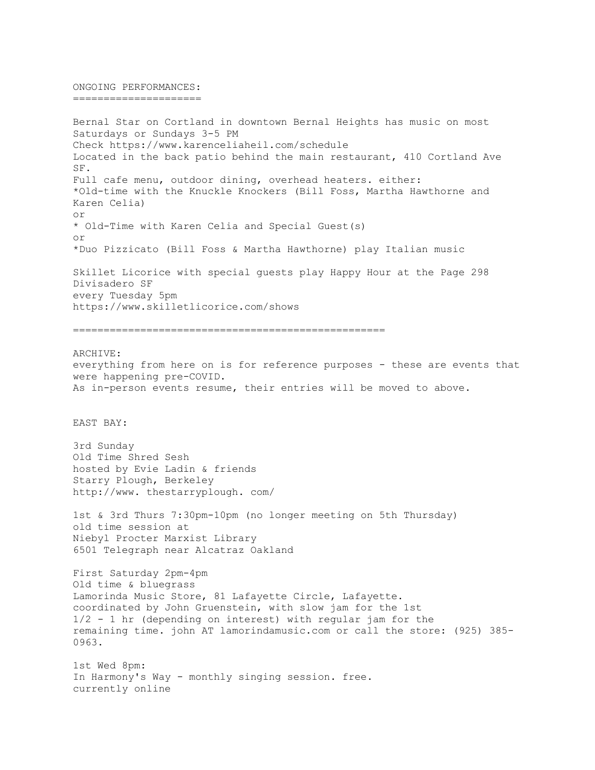ONGOING PERFORMANCES: =====================

Bernal Star on Cortland in downtown Bernal Heights has music on most Saturdays or Sundays 3-5 PM Check https://www.karenceliaheil.com/schedule Located in the back patio behind the main restaurant, 410 Cortland Ave SF. Full cafe menu, outdoor dining, overhead heaters. either: \*Old-time with the Knuckle Knockers (Bill Foss, Martha Hawthorne and Karen Celia) or \* Old-Time with Karen Celia and Special Guest(s) or \*Duo Pizzicato (Bill Foss & Martha Hawthorne) play Italian music Skillet Licorice with special guests play Happy Hour at the Page 298 Divisadero SF every Tuesday 5pm https://www.skilletlicorice.com/shows

===================================================

ARCHIVE: everything from here on is for reference purposes - these are events that were happening pre-COVID. As in-person events resume, their entries will be moved to above.

EAST BAY:

3rd Sunday Old Time Shred Sesh hosted by Evie Ladin & friends Starry Plough, Berkeley http://www. thestarryplough. com/

1st & 3rd Thurs 7:30pm-10pm (no longer meeting on 5th Thursday) old time session at Niebyl Procter Marxist Library 6501 Telegraph near Alcatraz Oakland

First Saturday 2pm-4pm Old time & bluegrass Lamorinda Music Store, 81 Lafayette Circle, Lafayette. coordinated by John Gruenstein, with slow jam for the 1st 1/2 - 1 hr (depending on interest) with regular jam for the remaining time. john AT lamorindamusic.com or call the store: (925) 385- 0963.

1st Wed 8pm: In Harmony's Way - monthly singing session. free. currently online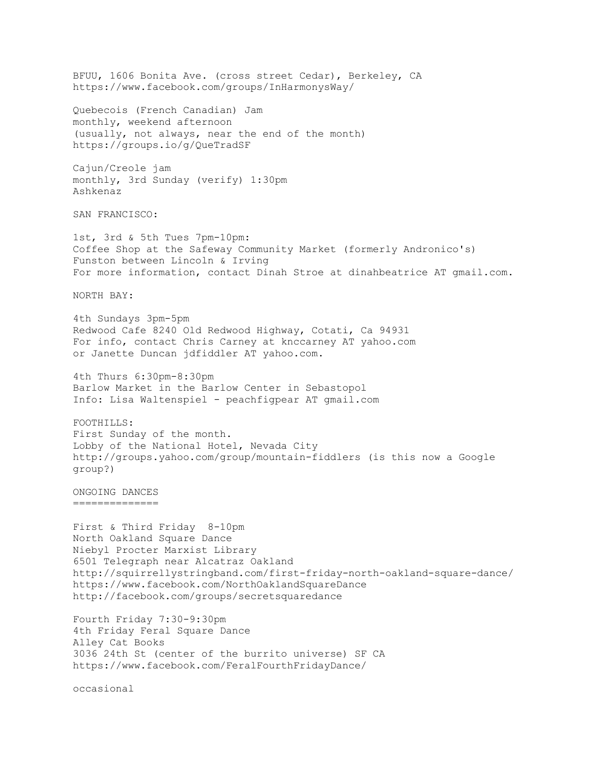BFUU, 1606 Bonita Ave. (cross street Cedar), Berkeley, CA https://www.facebook.com/groups/InHarmonysWay/ Quebecois (French Canadian) Jam monthly, weekend afternoon (usually, not always, near the end of the month) https://groups.io/g/QueTradSF Cajun/Creole jam monthly, 3rd Sunday (verify) 1:30pm Ashkenaz SAN FRANCISCO: 1st, 3rd & 5th Tues 7pm-10pm: Coffee Shop at the Safeway Community Market (formerly Andronico's) Funston between Lincoln & Irving For more information, contact Dinah Stroe at dinahbeatrice AT gmail.com. NORTH BAY: 4th Sundays 3pm-5pm Redwood Cafe 8240 Old Redwood Highway, Cotati, Ca 94931 For info, contact Chris Carney at knccarney AT yahoo.com or Janette Duncan jdfiddler AT yahoo.com. 4th Thurs 6:30pm-8:30pm Barlow Market in the Barlow Center in Sebastopol Info: Lisa Waltenspiel - peachfigpear AT gmail.com FOOTHILLS: First Sunday of the month. Lobby of the National Hotel, Nevada City http://groups.yahoo.com/group/mountain-fiddlers (is this now a Google group?) ONGOING DANCES ============== First & Third Friday 8-10pm North Oakland Square Dance Niebyl Procter Marxist Library 6501 Telegraph near Alcatraz Oakland http://squirrellystringband.com/first-friday-north-oakland-square-dance/ https://www.facebook.com/NorthOaklandSquareDance http://facebook.com/groups/secretsquaredance Fourth Friday 7:30-9:30pm 4th Friday Feral Square Dance Alley Cat Books 3036 24th St (center of the burrito universe) SF CA https://www.facebook.com/FeralFourthFridayDance/ occasional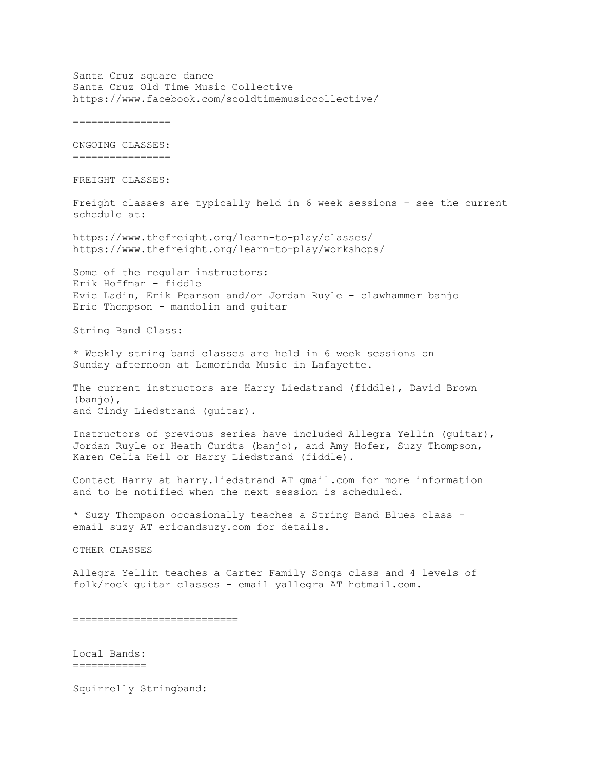Santa Cruz square dance Santa Cruz Old Time Music Collective https://www.facebook.com/scoldtimemusiccollective/ ================ ONGOING CLASSES: ================ FREIGHT CLASSES: Freight classes are typically held in 6 week sessions - see the current schedule at: https://www.thefreight.org/learn-to-play/classes/ https://www.thefreight.org/learn-to-play/workshops/ Some of the regular instructors: Erik Hoffman - fiddle Evie Ladin, Erik Pearson and/or Jordan Ruyle - clawhammer banjo Eric Thompson - mandolin and guitar String Band Class: \* Weekly string band classes are held in 6 week sessions on Sunday afternoon at Lamorinda Music in Lafayette. The current instructors are Harry Liedstrand (fiddle), David Brown (banjo), and Cindy Liedstrand (guitar). Instructors of previous series have included Allegra Yellin (guitar), Jordan Ruyle or Heath Curdts (banjo), and Amy Hofer, Suzy Thompson, Karen Celia Heil or Harry Liedstrand (fiddle). Contact Harry at harry.liedstrand AT gmail.com for more information and to be notified when the next session is scheduled. \* Suzy Thompson occasionally teaches a String Band Blues class email suzy AT ericandsuzy.com for details. OTHER CLASSES Allegra Yellin teaches a Carter Family Songs class and 4 levels of folk/rock guitar classes - email yallegra AT hotmail.com. =========================== Local Bands: ============

Squirrelly Stringband: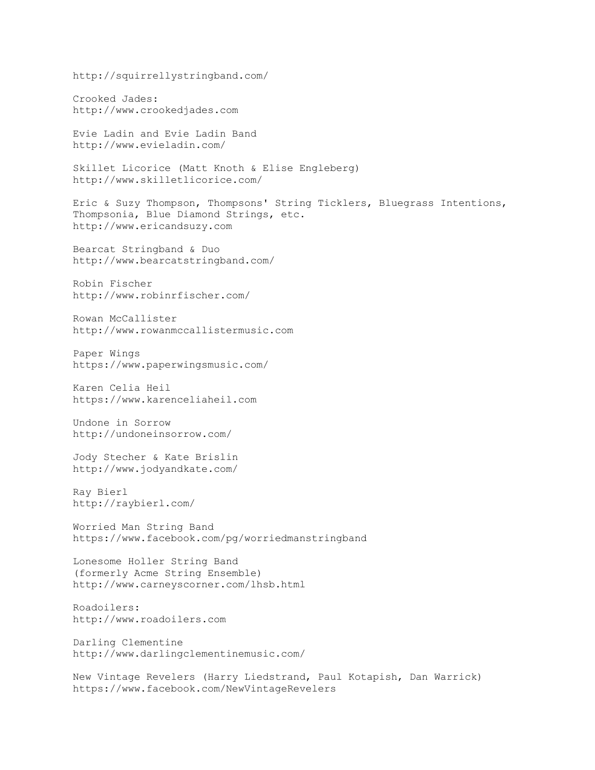http://squirrellystringband.com/ Crooked Jades: http://www.crookedjades.com Evie Ladin and Evie Ladin Band http://www.evieladin.com/ Skillet Licorice (Matt Knoth & Elise Engleberg) http://www.skilletlicorice.com/ Eric & Suzy Thompson, Thompsons' String Ticklers, Bluegrass Intentions, Thompsonia, Blue Diamond Strings, etc. http://www.ericandsuzy.com Bearcat Stringband & Duo http://www.bearcatstringband.com/ Robin Fischer http://www.robinrfischer.com/ Rowan McCallister http://www.rowanmccallistermusic.com Paper Wings https://www.paperwingsmusic.com/ Karen Celia Heil https://www.karenceliaheil.com Undone in Sorrow http://undoneinsorrow.com/ Jody Stecher & Kate Brislin http://www.jodyandkate.com/ Ray Bierl http://raybierl.com/ Worried Man String Band https://www.facebook.com/pg/worriedmanstringband Lonesome Holler String Band (formerly Acme String Ensemble) http://www.carneyscorner.com/lhsb.html Roadoilers: http://www.roadoilers.com Darling Clementine http://www.darlingclementinemusic.com/ New Vintage Revelers (Harry Liedstrand, Paul Kotapish, Dan Warrick) https://www.facebook.com/NewVintageRevelers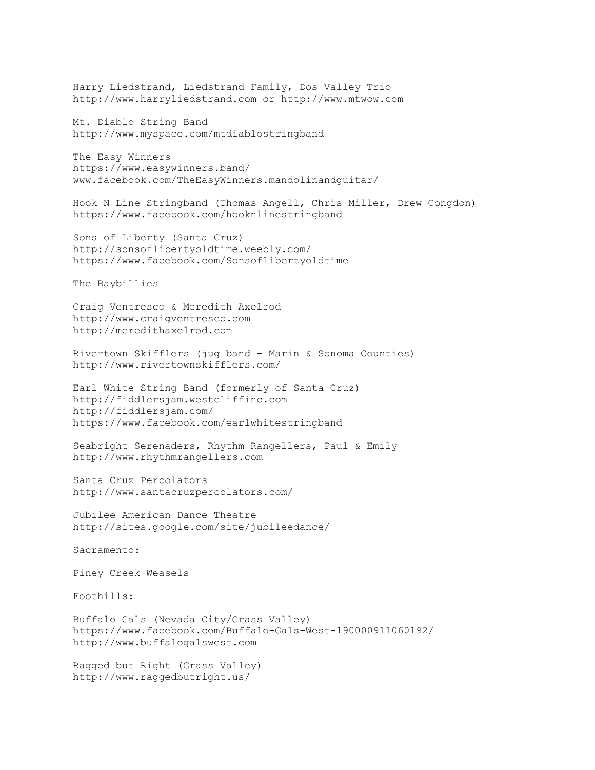Harry Liedstrand, Liedstrand Family, Dos Valley Trio http://www.harryliedstrand.com or http://www.mtwow.com

Mt. Diablo String Band http://www.myspace.com/mtdiablostringband

The Easy Winners https://www.easywinners.band/ www.facebook.com/TheEasyWinners.mandolinandguitar/

Hook N Line Stringband (Thomas Angell, Chris Miller, Drew Congdon) https://www.facebook.com/hooknlinestringband

Sons of Liberty (Santa Cruz) http://sonsoflibertyoldtime.weebly.com/ https://www.facebook.com/Sonsoflibertyoldtime

The Baybillies

Craig Ventresco & Meredith Axelrod http://www.craigventresco.com http://meredithaxelrod.com

Rivertown Skifflers (jug band - Marin & Sonoma Counties) http://www.rivertownskifflers.com/

Earl White String Band (formerly of Santa Cruz) http://fiddlersjam.westcliffinc.com http://fiddlersjam.com/ https://www.facebook.com/earlwhitestringband

Seabright Serenaders, Rhythm Rangellers, Paul & Emily http://www.rhythmrangellers.com

Santa Cruz Percolators http://www.santacruzpercolators.com/

Jubilee American Dance Theatre http://sites.google.com/site/jubileedance/

Sacramento:

Piney Creek Weasels

Foothills:

Buffalo Gals (Nevada City/Grass Valley) https://www.facebook.com/Buffalo-Gals-West-190000911060192/ http://www.buffalogalswest.com

Ragged but Right (Grass Valley) http://www.raggedbutright.us/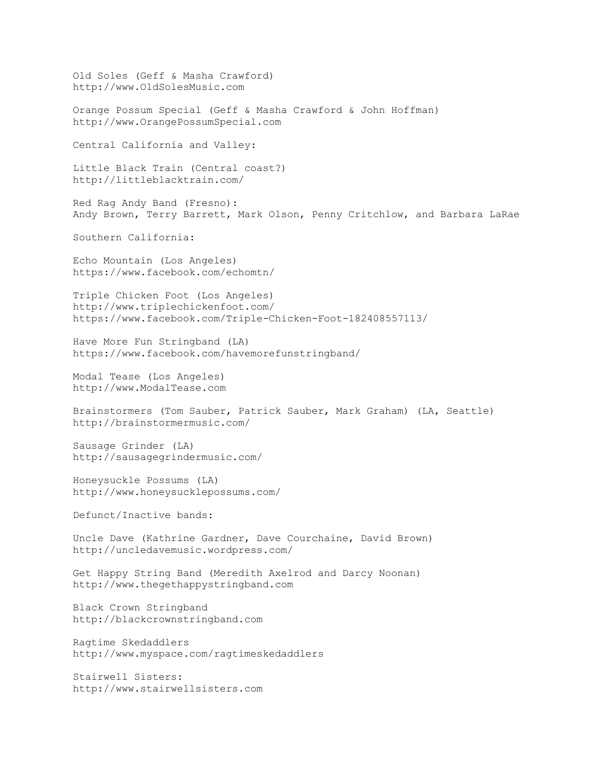Old Soles (Geff & Masha Crawford) http://www.OldSolesMusic.com Orange Possum Special (Geff & Masha Crawford & John Hoffman) http://www.OrangePossumSpecial.com Central California and Valley: Little Black Train (Central coast?) http://littleblacktrain.com/ Red Rag Andy Band (Fresno): Andy Brown, Terry Barrett, Mark Olson, Penny Critchlow, and Barbara LaRae Southern California: Echo Mountain (Los Angeles) https://www.facebook.com/echomtn/ Triple Chicken Foot (Los Angeles) http://www.triplechickenfoot.com/ https://www.facebook.com/Triple-Chicken-Foot-182408557113/ Have More Fun Stringband (LA) https://www.facebook.com/havemorefunstringband/ Modal Tease (Los Angeles) http://www.ModalTease.com Brainstormers (Tom Sauber, Patrick Sauber, Mark Graham) (LA, Seattle) http://brainstormermusic.com/ Sausage Grinder (LA) http://sausagegrindermusic.com/ Honeysuckle Possums (LA) http://www.honeysucklepossums.com/ Defunct/Inactive bands: Uncle Dave (Kathrine Gardner, Dave Courchaine, David Brown) http://uncledavemusic.wordpress.com/ Get Happy String Band (Meredith Axelrod and Darcy Noonan) http://www.thegethappystringband.com Black Crown Stringband http://blackcrownstringband.com Ragtime Skedaddlers http://www.myspace.com/ragtimeskedaddlers Stairwell Sisters: http://www.stairwellsisters.com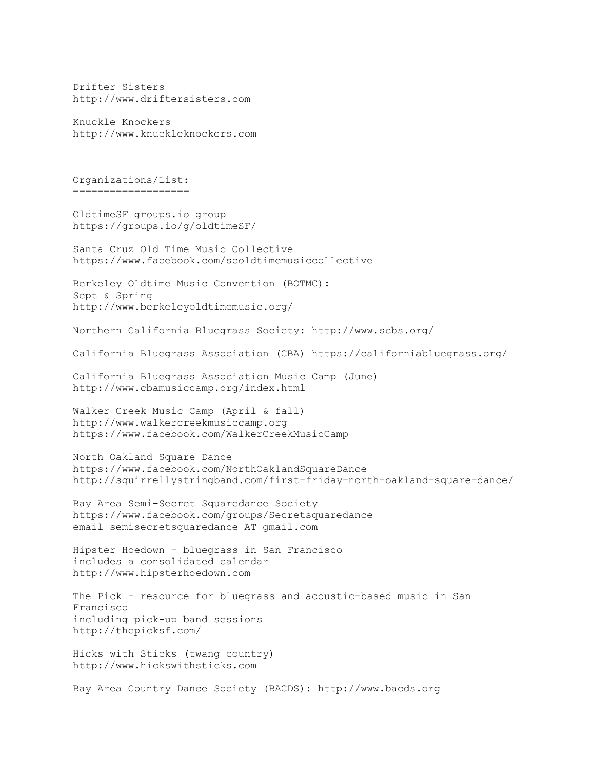Drifter Sisters http://www.driftersisters.com

Knuckle Knockers http://www.knuckleknockers.com

Organizations/List: ===================

OldtimeSF groups.io group https://groups.io/g/oldtimeSF/

Santa Cruz Old Time Music Collective https://www.facebook.com/scoldtimemusiccollective

Berkeley Oldtime Music Convention (BOTMC): Sept & Spring http://www.berkeleyoldtimemusic.org/

Northern California Bluegrass Society: http://www.scbs.org/

California Bluegrass Association (CBA) https://californiabluegrass.org/

California Bluegrass Association Music Camp (June) http://www.cbamusiccamp.org/index.html

Walker Creek Music Camp (April & fall) http://www.walkercreekmusiccamp.org https://www.facebook.com/WalkerCreekMusicCamp

North Oakland Square Dance https://www.facebook.com/NorthOaklandSquareDance http://squirrellystringband.com/first-friday-north-oakland-square-dance/

Bay Area Semi-Secret Squaredance Society https://www.facebook.com/groups/Secretsquaredance email semisecretsquaredance AT gmail.com

Hipster Hoedown - bluegrass in San Francisco includes a consolidated calendar http://www.hipsterhoedown.com

The Pick - resource for bluegrass and acoustic-based music in San Francisco including pick-up band sessions http://thepicksf.com/

Hicks with Sticks (twang country) http://www.hickswithsticks.com

Bay Area Country Dance Society (BACDS): http://www.bacds.org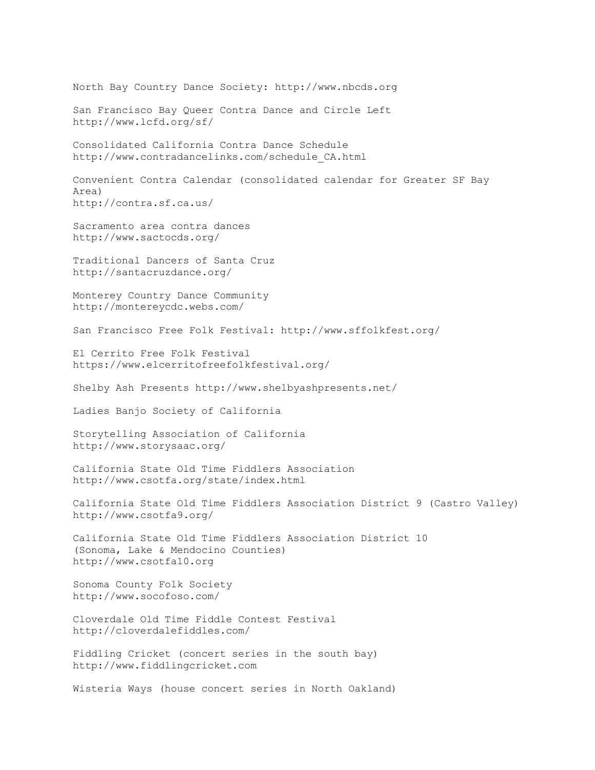North Bay Country Dance Society: http://www.nbcds.org San Francisco Bay Queer Contra Dance and Circle Left http://www.lcfd.org/sf/ Consolidated California Contra Dance Schedule http://www.contradancelinks.com/schedule\_CA.html Convenient Contra Calendar (consolidated calendar for Greater SF Bay Area) http://contra.sf.ca.us/ Sacramento area contra dances http://www.sactocds.org/ Traditional Dancers of Santa Cruz http://santacruzdance.org/ Monterey Country Dance Community http://montereycdc.webs.com/ San Francisco Free Folk Festival: http://www.sffolkfest.org/ El Cerrito Free Folk Festival https://www.elcerritofreefolkfestival.org/ Shelby Ash Presents http://www.shelbyashpresents.net/ Ladies Banjo Society of California Storytelling Association of California http://www.storysaac.org/ California State Old Time Fiddlers Association http://www.csotfa.org/state/index.html California State Old Time Fiddlers Association District 9 (Castro Valley) http://www.csotfa9.org/ California State Old Time Fiddlers Association District 10 (Sonoma, Lake & Mendocino Counties) http://www.csotfa10.org Sonoma County Folk Society http://www.socofoso.com/ Cloverdale Old Time Fiddle Contest Festival http://cloverdalefiddles.com/ Fiddling Cricket (concert series in the south bay) http://www.fiddlingcricket.com Wisteria Ways (house concert series in North Oakland)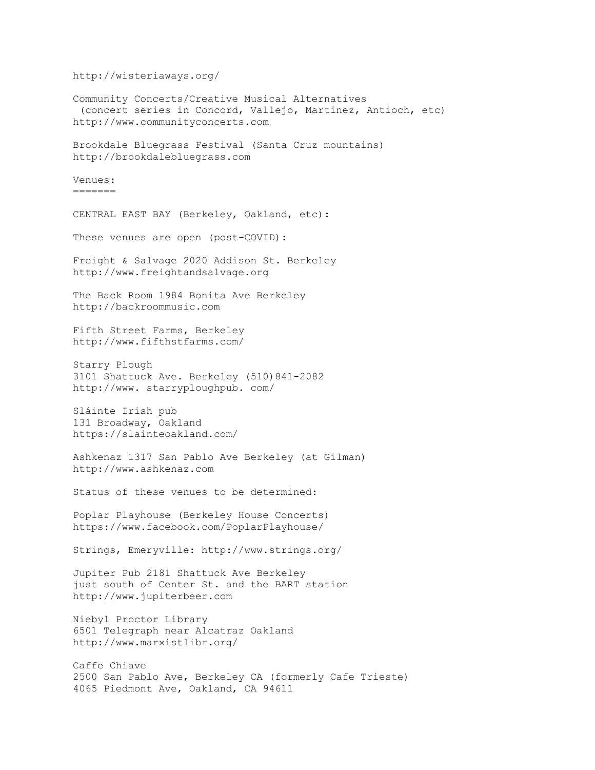http://wisteriaways.org/ Community Concerts/Creative Musical Alternatives (concert series in Concord, Vallejo, Martinez, Antioch, etc) http://www.communityconcerts.com Brookdale Bluegrass Festival (Santa Cruz mountains) http://brookdalebluegrass.com Venues: ======= CENTRAL EAST BAY (Berkeley, Oakland, etc): These venues are open (post-COVID): Freight & Salvage 2020 Addison St. Berkeley http://www.freightandsalvage.org The Back Room 1984 Bonita Ave Berkeley http://backroommusic.com Fifth Street Farms, Berkeley http://www.fifthstfarms.com/ Starry Plough 3101 Shattuck Ave. Berkeley (510)841-2082 http://www. starryploughpub. com/ Sláinte Irish pub 131 Broadway, Oakland https://slainteoakland.com/ Ashkenaz 1317 San Pablo Ave Berkeley (at Gilman) http://www.ashkenaz.com Status of these venues to be determined: Poplar Playhouse (Berkeley House Concerts) https://www.facebook.com/PoplarPlayhouse/ Strings, Emeryville: http://www.strings.org/ Jupiter Pub 2181 Shattuck Ave Berkeley just south of Center St. and the BART station http://www.jupiterbeer.com Niebyl Proctor Library 6501 Telegraph near Alcatraz Oakland http://www.marxistlibr.org/ Caffe Chiave 2500 San Pablo Ave, Berkeley CA (formerly Cafe Trieste) 4065 Piedmont Ave, Oakland, CA 94611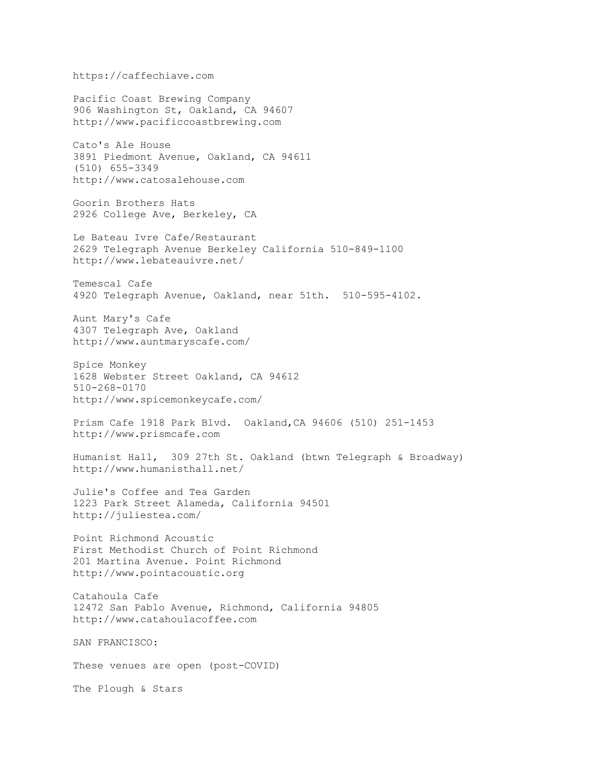https://caffechiave.com Pacific Coast Brewing Company 906 Washington St, Oakland, CA 94607 http://www.pacificcoastbrewing.com Cato's Ale House 3891 Piedmont Avenue, Oakland, CA 94611 (510) 655-3349 http://www.catosalehouse.com Goorin Brothers Hats 2926 College Ave, Berkeley, CA Le Bateau Ivre Cafe/Restaurant 2629 Telegraph Avenue Berkeley California 510-849-1100 http://www.lebateauivre.net/ Temescal Cafe 4920 Telegraph Avenue, Oakland, near 51th. 510-595-4102. Aunt Mary's Cafe 4307 Telegraph Ave, Oakland http://www.auntmaryscafe.com/ Spice Monkey 1628 Webster Street Oakland, CA 94612 510-268-0170 http://www.spicemonkeycafe.com/ Prism Cafe 1918 Park Blvd. Oakland,CA 94606 (510) 251-1453 http://www.prismcafe.com Humanist Hall, 309 27th St. Oakland (btwn Telegraph & Broadway) http://www.humanisthall.net/ Julie's Coffee and Tea Garden 1223 Park Street Alameda, California 94501 http://juliestea.com/ Point Richmond Acoustic First Methodist Church of Point Richmond 201 Martina Avenue. Point Richmond http://www.pointacoustic.org Catahoula Cafe 12472 San Pablo Avenue, Richmond, California 94805 http://www.catahoulacoffee.com SAN FRANCISCO: These venues are open (post-COVID) The Plough & Stars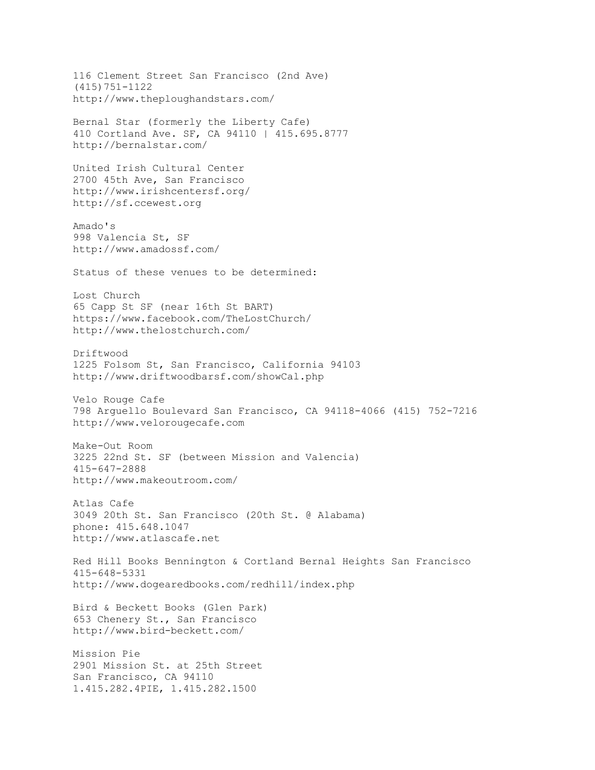116 Clement Street San Francisco (2nd Ave) (415)751-1122 http://www.theploughandstars.com/ Bernal Star (formerly the Liberty Cafe) 410 Cortland Ave. SF, CA 94110 | 415.695.8777 http://bernalstar.com/ United Irish Cultural Center 2700 45th Ave, San Francisco http://www.irishcentersf.org/ http://sf.ccewest.org Amado's 998 Valencia St, SF http://www.amadossf.com/ Status of these venues to be determined: Lost Church 65 Capp St SF (near 16th St BART) https://www.facebook.com/TheLostChurch/ http://www.thelostchurch.com/ Driftwood 1225 Folsom St, San Francisco, California 94103 http://www.driftwoodbarsf.com/showCal.php Velo Rouge Cafe 798 Arguello Boulevard San Francisco, CA 94118-4066 (415) 752-7216 http://www.velorougecafe.com Make-Out Room 3225 22nd St. SF (between Mission and Valencia) 415-647-2888 http://www.makeoutroom.com/ Atlas Cafe 3049 20th St. San Francisco (20th St. @ Alabama) phone: 415.648.1047 http://www.atlascafe.net Red Hill Books Bennington & Cortland Bernal Heights San Francisco 415-648-5331 http://www.dogearedbooks.com/redhill/index.php Bird & Beckett Books (Glen Park) 653 Chenery St., San Francisco http://www.bird-beckett.com/ Mission Pie 2901 Mission St. at 25th Street San Francisco, CA 94110 1.415.282.4PIE, 1.415.282.1500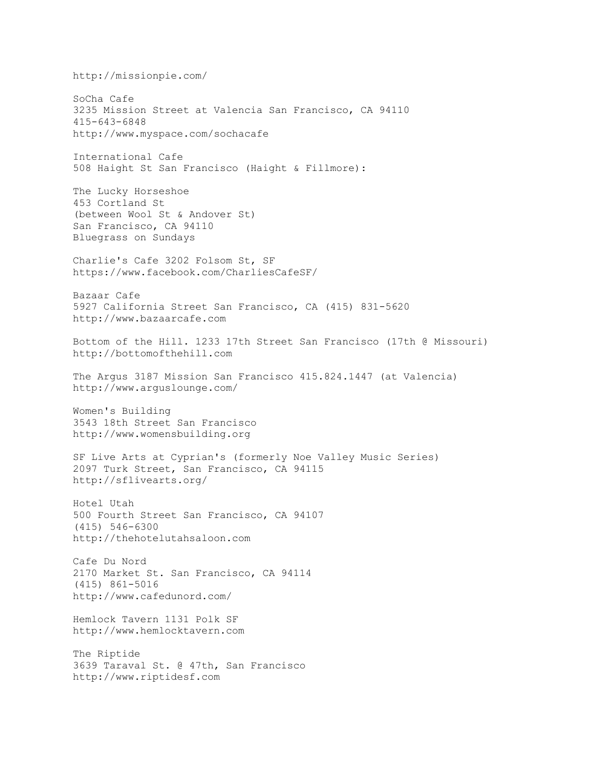http://missionpie.com/ SoCha Cafe 3235 Mission Street at Valencia San Francisco, CA 94110 415-643-6848 http://www.myspace.com/sochacafe International Cafe 508 Haight St San Francisco (Haight & Fillmore): The Lucky Horseshoe 453 Cortland St (between Wool St & Andover St) San Francisco, CA 94110 Bluegrass on Sundays Charlie's Cafe 3202 Folsom St, SF https://www.facebook.com/CharliesCafeSF/ Bazaar Cafe 5927 California Street San Francisco, CA (415) 831-5620 http://www.bazaarcafe.com Bottom of the Hill. 1233 17th Street San Francisco (17th @ Missouri) http://bottomofthehill.com The Argus 3187 Mission San Francisco 415.824.1447 (at Valencia) http://www.arguslounge.com/ Women's Building 3543 18th Street San Francisco http://www.womensbuilding.org SF Live Arts at Cyprian's (formerly Noe Valley Music Series) 2097 Turk Street, San Francisco, CA 94115 http://sflivearts.org/ Hotel Utah 500 Fourth Street San Francisco, CA 94107 (415) 546-6300 http://thehotelutahsaloon.com Cafe Du Nord 2170 Market St. San Francisco, CA 94114 (415) 861-5016 http://www.cafedunord.com/ Hemlock Tavern 1131 Polk SF http://www.hemlocktavern.com The Riptide 3639 Taraval St. @ 47th, San Francisco http://www.riptidesf.com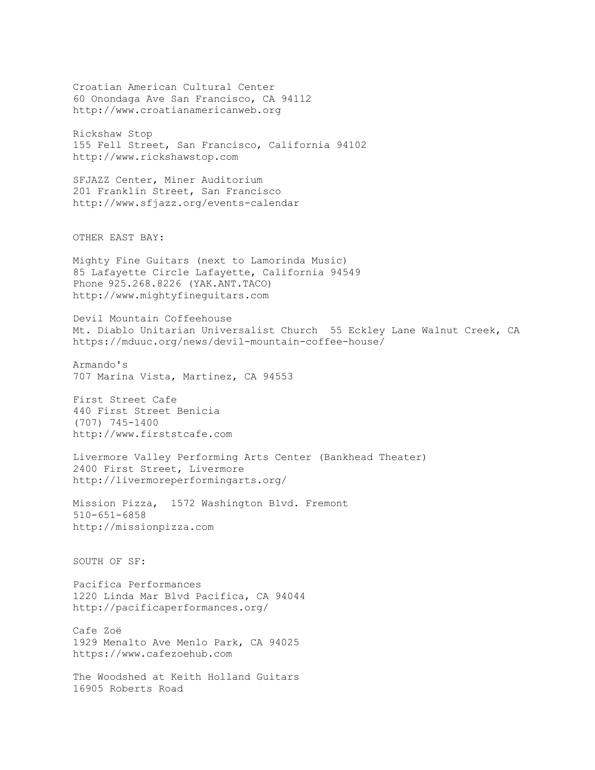Croatian American Cultural Center 60 Onondaga Ave San Francisco, CA 94112 http://www.croatianamericanweb.org Rickshaw Stop 155 Fell Street, San Francisco, California 94102 http://www.rickshawstop.com SFJAZZ Center, Miner Auditorium 201 Franklin Street, San Francisco http://www.sfjazz.org/events-calendar OTHER EAST BAY: Mighty Fine Guitars (next to Lamorinda Music) 85 Lafayette Circle Lafayette, California 94549 Phone 925.268.8226 (YAK.ANT.TACO) http://www.mightyfineguitars.com Devil Mountain Coffeehouse Mt. Diablo Unitarian Universalist Church 55 Eckley Lane Walnut Creek, CA https://mduuc.org/news/devil-mountain-coffee-house/ Armando's 707 Marina Vista, Martinez, CA 94553 First Street Cafe 440 First Street Benicia (707) 745-1400 http://www.firststcafe.com Livermore Valley Performing Arts Center (Bankhead Theater) 2400 First Street, Livermore http://livermoreperformingarts.org/ Mission Pizza, 1572 Washington Blvd. Fremont 510-651-6858 http://missionpizza.com SOUTH OF SF: Pacifica Performances 1220 Linda Mar Blvd Pacifica, CA 94044 http://pacificaperformances.org/ Cafe Zoë 1929 Menalto Ave Menlo Park, CA 94025 https://www.cafezoehub.com The Woodshed at Keith Holland Guitars 16905 Roberts Road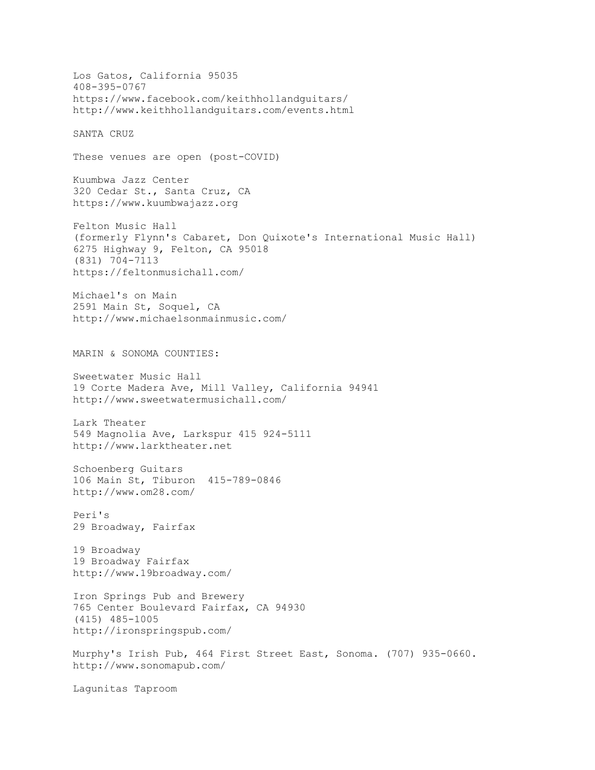Los Gatos, California 95035 408-395-0767 https://www.facebook.com/keithhollandguitars/ http://www.keithhollandguitars.com/events.html SANTA CRUZ These venues are open (post-COVID) Kuumbwa Jazz Center 320 Cedar St., Santa Cruz, CA https://www.kuumbwajazz.org Felton Music Hall (formerly Flynn's Cabaret, Don Quixote's International Music Hall) 6275 Highway 9, Felton, CA 95018 (831) 704-7113 https://feltonmusichall.com/ Michael's on Main 2591 Main St, Soquel, CA http://www.michaelsonmainmusic.com/ MARIN & SONOMA COUNTIES: Sweetwater Music Hall 19 Corte Madera Ave, Mill Valley, California 94941 http://www.sweetwatermusichall.com/ Lark Theater 549 Magnolia Ave, Larkspur 415 924-5111 http://www.larktheater.net Schoenberg Guitars 106 Main St, Tiburon 415-789-0846 http://www.om28.com/ Peri's 29 Broadway, Fairfax 19 Broadway 19 Broadway Fairfax http://www.19broadway.com/ Iron Springs Pub and Brewery 765 Center Boulevard Fairfax, CA 94930 (415) 485-1005 http://ironspringspub.com/ Murphy's Irish Pub, 464 First Street East, Sonoma. (707) 935-0660. http://www.sonomapub.com/ Lagunitas Taproom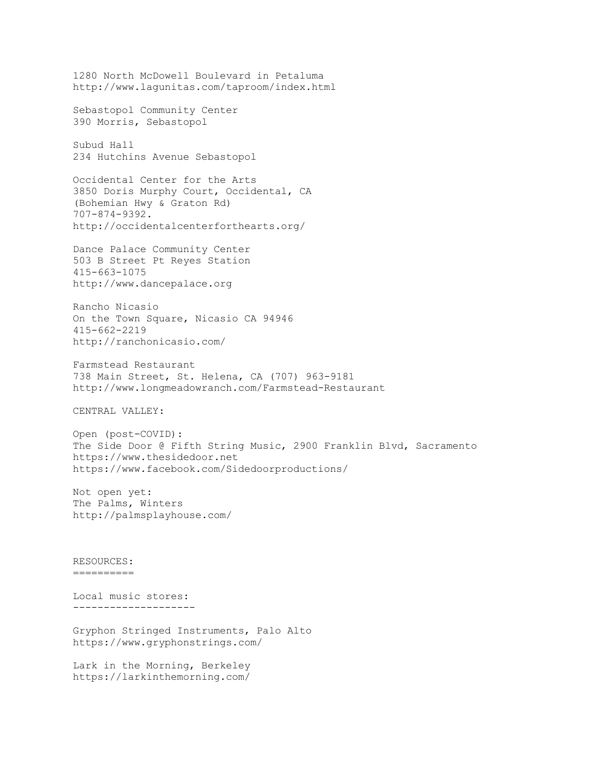1280 North McDowell Boulevard in Petaluma http://www.lagunitas.com/taproom/index.html Sebastopol Community Center 390 Morris, Sebastopol Subud Hall 234 Hutchins Avenue Sebastopol Occidental Center for the Arts 3850 Doris Murphy Court, Occidental, CA (Bohemian Hwy & Graton Rd) 707-874-9392. http://occidentalcenterforthearts.org/ Dance Palace Community Center 503 B Street Pt Reyes Station 415-663-1075 http://www.dancepalace.org Rancho Nicasio On the Town Square, Nicasio CA 94946 415-662-2219 http://ranchonicasio.com/ Farmstead Restaurant 738 Main Street, St. Helena, CA (707) 963-9181 http://www.longmeadowranch.com/Farmstead-Restaurant CENTRAL VALLEY: Open (post-COVID): The Side Door @ Fifth String Music, 2900 Franklin Blvd, Sacramento https://www.thesidedoor.net https://www.facebook.com/Sidedoorproductions/ Not open yet: The Palms, Winters http://palmsplayhouse.com/ RESOURCES: ========== Local music stores: -------------------- Gryphon Stringed Instruments, Palo Alto https://www.gryphonstrings.com/

Lark in the Morning, Berkeley https://larkinthemorning.com/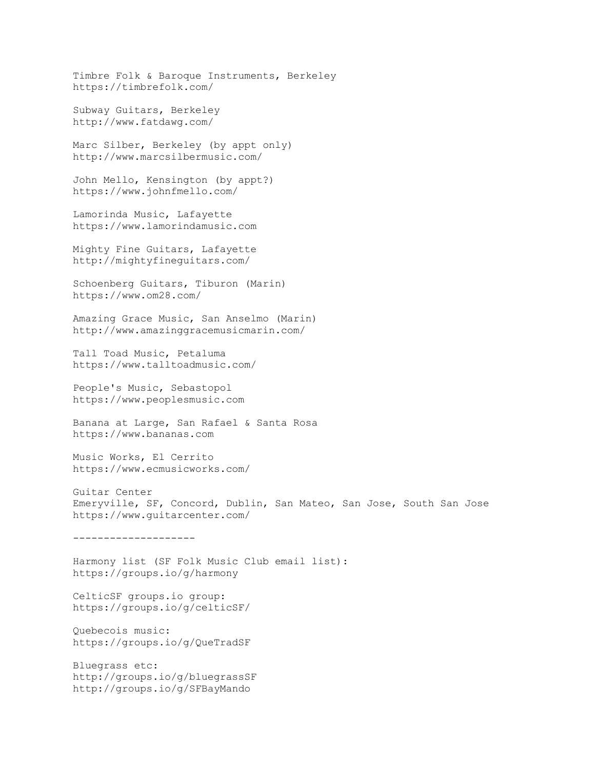Timbre Folk & Baroque Instruments, Berkeley https://timbrefolk.com/ Subway Guitars, Berkeley http://www.fatdawg.com/ Marc Silber, Berkeley (by appt only) http://www.marcsilbermusic.com/ John Mello, Kensington (by appt?) https://www.johnfmello.com/ Lamorinda Music, Lafayette https://www.lamorindamusic.com Mighty Fine Guitars, Lafayette http://mightyfineguitars.com/ Schoenberg Guitars, Tiburon (Marin) https://www.om28.com/ Amazing Grace Music, San Anselmo (Marin) http://www.amazinggracemusicmarin.com/ Tall Toad Music, Petaluma https://www.talltoadmusic.com/ People's Music, Sebastopol https://www.peoplesmusic.com Banana at Large, San Rafael & Santa Rosa https://www.bananas.com Music Works, El Cerrito https://www.ecmusicworks.com/ Guitar Center Emeryville, SF, Concord, Dublin, San Mateo, San Jose, South San Jose https://www.guitarcenter.com/ -------------------- Harmony list (SF Folk Music Club email list): https://groups.io/g/harmony CelticSF groups.io group: https://groups.io/g/celticSF/ Quebecois music: https://groups.io/g/QueTradSF Bluegrass etc: http://groups.io/g/bluegrassSF http://groups.io/g/SFBayMando